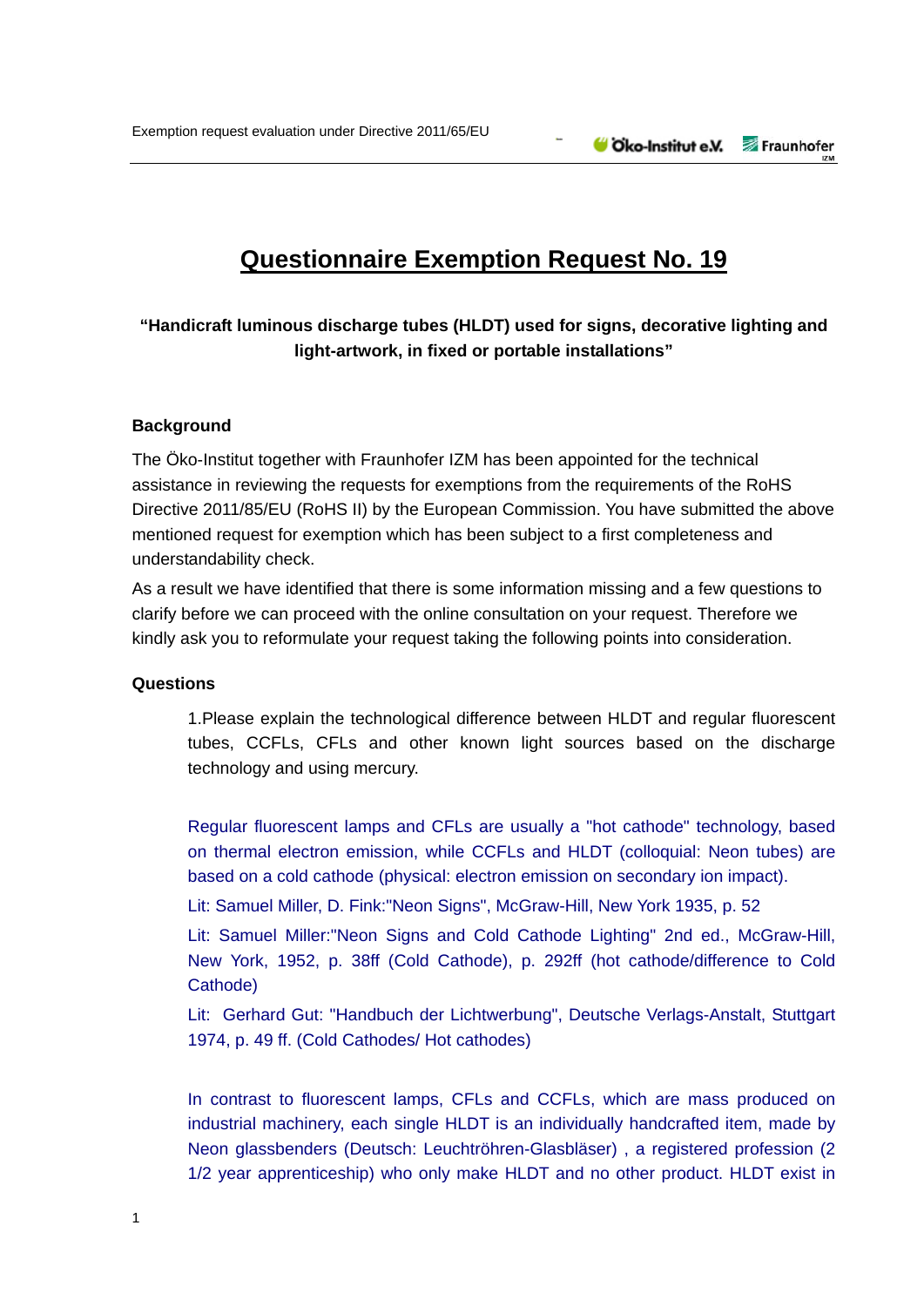# **Questionnaire Exemption Request No. 19**

# **"Handicraft luminous discharge tubes (HLDT) used for signs, decorative lighting and light-artwork, in fixed or portable installations"**

### **Background**

The Öko-Institut together with Fraunhofer IZM has been appointed for the technical assistance in reviewing the requests for exemptions from the requirements of the RoHS Directive 2011/85/EU (RoHS II) by the European Commission. You have submitted the above mentioned request for exemption which has been subject to a first completeness and understandability check.

As a result we have identified that there is some information missing and a few questions to clarify before we can proceed with the online consultation on your request. Therefore we kindly ask you to reformulate your request taking the following points into consideration.

#### **Questions**

1.Please explain the technological difference between HLDT and regular fluorescent tubes, CCFLs, CFLs and other known light sources based on the discharge technology and using mercury.

Regular fluorescent lamps and CFLs are usually a "hot cathode" technology, based on thermal electron emission, while CCFLs and HLDT (colloquial: Neon tubes) are based on a cold cathode (physical: electron emission on secondary ion impact).

Lit: Samuel Miller, D. Fink:"Neon Signs", McGraw-Hill, New York 1935, p. 52

Lit: Samuel Miller:"Neon Signs and Cold Cathode Lighting" 2nd ed., McGraw-Hill, New York, 1952, p. 38ff (Cold Cathode), p. 292ff (hot cathode/difference to Cold Cathode)

Lit: Gerhard Gut: "Handbuch der Lichtwerbung", Deutsche Verlags-Anstalt, Stuttgart 1974, p. 49 ff. (Cold Cathodes/ Hot cathodes)

In contrast to fluorescent lamps, CFLs and CCFLs, which are mass produced on industrial machinery, each single HLDT is an individually handcrafted item, made by Neon glassbenders (Deutsch: Leuchtröhren-Glasbläser) , a registered profession (2 1/2 year apprenticeship) who only make HLDT and no other product. HLDT exist in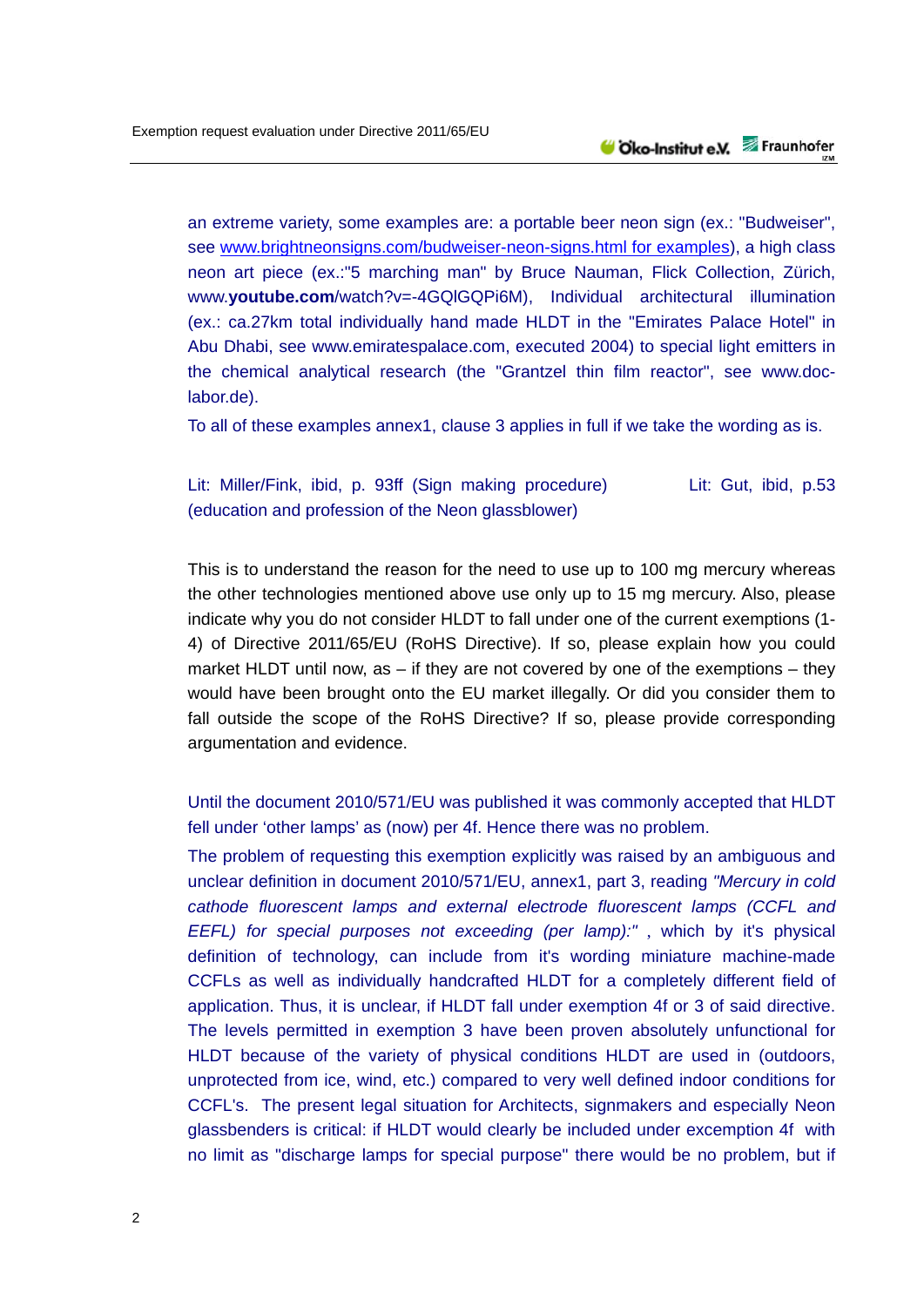an extreme variety, some examples are: a portable beer neon sign (ex.: "Budweiser", see www.brightneonsigns.com/budweiser-neon-signs.html for examples), a high class neon art piece (ex.:"5 marching man" by Bruce Nauman, Flick Collection, Zürich, www.youtube.com/watch?v=-4GQIGQPi6M), Individual architectural illumination (ex.: ca.27km total individually hand made HLDT in the "Emirates Palace Hotel" in Abu Dhabi, see www.emiratespalace.com, executed 2004) to special light emitters in the chemical analytical research (the "Grantzel thin film reactor", see www.doclabor.de).

To all of these examples annex1, clause 3 applies in full if we take the wording as is.

## Lit: Miller/Fink, ibid, p. 93ff (Sign making procedure) Lit: Gut, ibid, p.53 (education and profession of the Neon glassblower)

This is to understand the reason for the need to use up to 100 mg mercury whereas the other technologies mentioned above use only up to 15 mg mercury. Also, please indicate why you do not consider HLDT to fall under one of the current exemptions (1- 4) of Directive 2011/65/EU (RoHS Directive). If so, please explain how you could market HLDT until now, as – if they are not covered by one of the exemptions – they would have been brought onto the EU market illegally. Or did you consider them to fall outside the scope of the RoHS Directive? If so, please provide corresponding argumentation and evidence.

Until the document 2010/571/EU was published it was commonly accepted that HLDT fell under 'other lamps' as (now) per 4f. Hence there was no problem.

The problem of requesting this exemption explicitly was raised by an ambiguous and unclear definition in document 2010/571/EU, annex1, part 3, reading *"Mercury in cold cathode fluorescent lamps and external electrode fluorescent lamps (CCFL and EEFL) for special purposes not exceeding (per lamp):"* , which by it's physical definition of technology, can include from it's wording miniature machine-made CCFLs as well as individually handcrafted HLDT for a completely different field of application. Thus, it is unclear, if HLDT fall under exemption 4f or 3 of said directive. The levels permitted in exemption 3 have been proven absolutely unfunctional for HLDT because of the variety of physical conditions HLDT are used in (outdoors, unprotected from ice, wind, etc.) compared to very well defined indoor conditions for CCFL's. The present legal situation for Architects, signmakers and especially Neon glassbenders is critical: if HLDT would clearly be included under excemption 4f with no limit as "discharge lamps for special purpose" there would be no problem, but if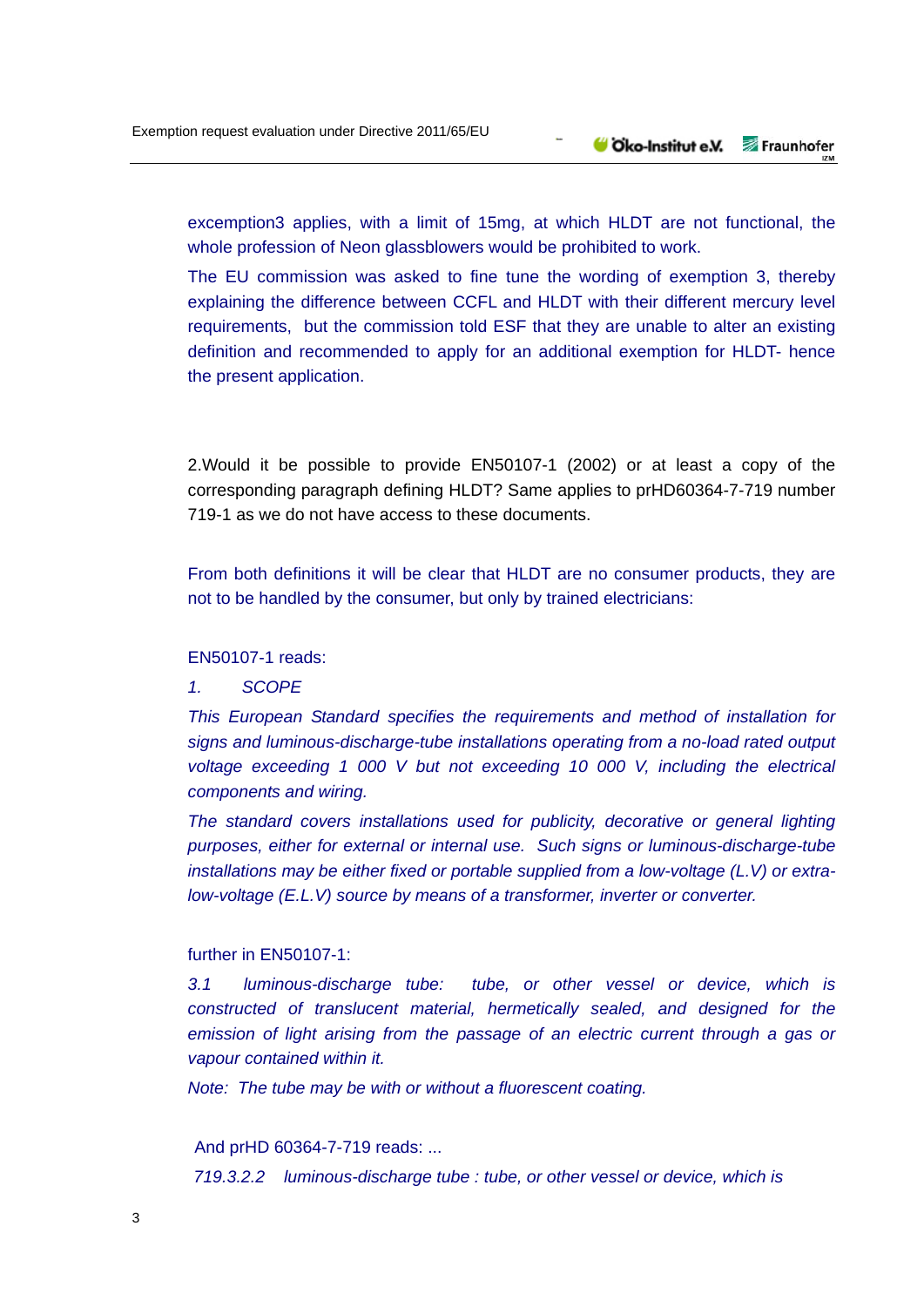excemption3 applies, with a limit of 15mg, at which HLDT are not functional, the whole profession of Neon glassblowers would be prohibited to work.

The EU commission was asked to fine tune the wording of exemption 3, thereby explaining the difference between CCFL and HLDT with their different mercury level requirements, but the commission told ESF that they are unable to alter an existing definition and recommended to apply for an additional exemption for HLDT- hence the present application.

2.Would it be possible to provide EN50107-1 (2002) or at least a copy of the corresponding paragraph defining HLDT? Same applies to prHD60364-7-719 number 719-1 as we do not have access to these documents.

From both definitions it will be clear that HLDT are no consumer products, they are not to be handled by the consumer, but only by trained electricians:

#### EN50107-1 reads:

### *1. SCOPE*

*This European Standard specifies the requirements and method of installation for signs and luminous-discharge-tube installations operating from a no-load rated output voltage exceeding 1 000 V but not exceeding 10 000 V, including the electrical components and wiring.* 

*The standard covers installations used for publicity, decorative or general lighting purposes, either for external or internal use. Such signs or luminous-discharge-tube installations may be either fixed or portable supplied from a low-voltage (L.V) or extralow-voltage (E.L.V) source by means of a transformer, inverter or converter.* 

### further in EN50107-1:

 *3.1 luminous-discharge tube: tube, or other vessel or device, which is constructed of translucent material, hermetically sealed, and designed for the emission of light arising from the passage of an electric current through a gas or vapour contained within it.* 

 *Note: The tube may be with or without a fluorescent coating.* 

And prHD 60364-7-719 reads: ...

 *719.3.2.2 luminous-discharge tube : tube, or other vessel or device, which is*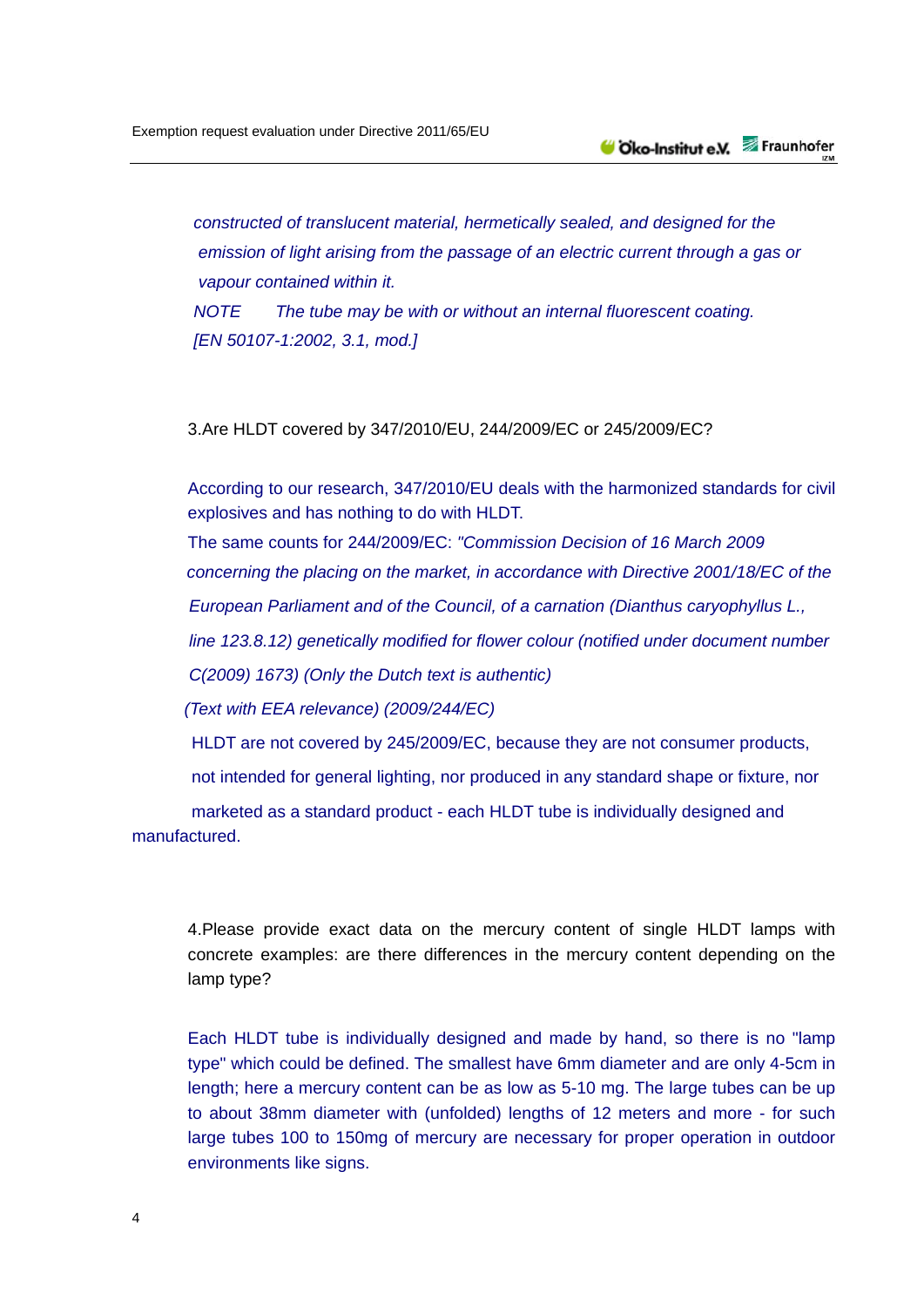*constructed of translucent material, hermetically sealed, and designed for the emission of light arising from the passage of an electric current through a gas or vapour contained within it. NOTE The tube may be with or without an internal fluorescent coating. [EN 50107-1:2002, 3.1, mod.]* 

3.Are HLDT covered by 347/2010/EU, 244/2009/EC or 245/2009/EC?

According to our research, 347/2010/EU deals with the harmonized standards for civil explosives and has nothing to do with HLDT.

The same counts for 244/2009/EC: *"Commission Decision of 16 March 2009 concerning the placing on the market, in accordance with Directive 2001/18/EC of the European Parliament and of the Council, of a carnation (Dianthus caryophyllus L., line 123.8.12) genetically modified for flower colour (notified under document number C(2009) 1673) (Only the Dutch text is authentic)* 

 *(Text with EEA relevance) (2009/244/EC)* 

HLDT are not covered by 245/2009/EC, because they are not consumer products,

not intended for general lighting, nor produced in any standard shape or fixture, nor

 marketed as a standard product - each HLDT tube is individually designed and manufactured.

4.Please provide exact data on the mercury content of single HLDT lamps with concrete examples: are there differences in the mercury content depending on the lamp type?

Each HLDT tube is individually designed and made by hand, so there is no "lamp type" which could be defined. The smallest have 6mm diameter and are only 4-5cm in length; here a mercury content can be as low as 5-10 mg. The large tubes can be up to about 38mm diameter with (unfolded) lengths of 12 meters and more - for such large tubes 100 to 150mg of mercury are necessary for proper operation in outdoor environments like signs.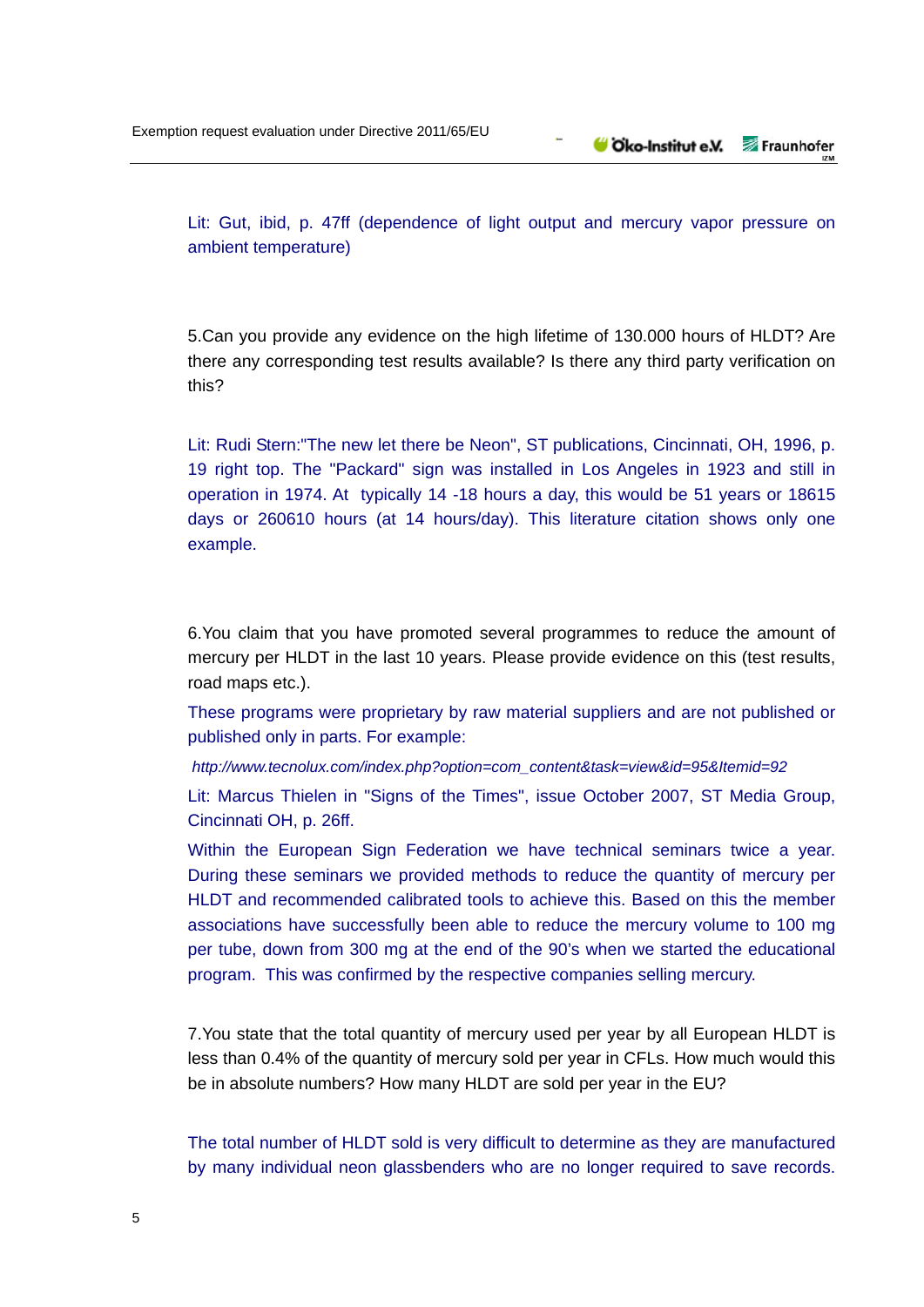Lit: Gut, ibid, p. 47ff (dependence of light output and mercury vapor pressure on ambient temperature)

5.Can you provide any evidence on the high lifetime of 130.000 hours of HLDT? Are there any corresponding test results available? Is there any third party verification on this?

Lit: Rudi Stern:"The new let there be Neon", ST publications, Cincinnati, OH, 1996, p. 19 right top. The "Packard" sign was installed in Los Angeles in 1923 and still in operation in 1974. At typically 14 -18 hours a day, this would be 51 years or 18615 days or 260610 hours (at 14 hours/day). This literature citation shows only one example.

6.You claim that you have promoted several programmes to reduce the amount of mercury per HLDT in the last 10 years. Please provide evidence on this (test results, road maps etc.).

These programs were proprietary by raw material suppliers and are not published or published only in parts. For example:

 *http://www.tecnolux.com/index.php?option=com\_content&task=view&id=95&Itemid=92* 

Lit: Marcus Thielen in "Signs of the Times", issue October 2007, ST Media Group, Cincinnati OH, p. 26ff.

Within the European Sign Federation we have technical seminars twice a year. During these seminars we provided methods to reduce the quantity of mercury per HLDT and recommended calibrated tools to achieve this. Based on this the member associations have successfully been able to reduce the mercury volume to 100 mg per tube, down from 300 mg at the end of the 90's when we started the educational program. This was confirmed by the respective companies selling mercury.

7.You state that the total quantity of mercury used per year by all European HLDT is less than 0.4% of the quantity of mercury sold per year in CFLs. How much would this be in absolute numbers? How many HLDT are sold per year in the EU?

The total number of HLDT sold is very difficult to determine as they are manufactured by many individual neon glassbenders who are no longer required to save records.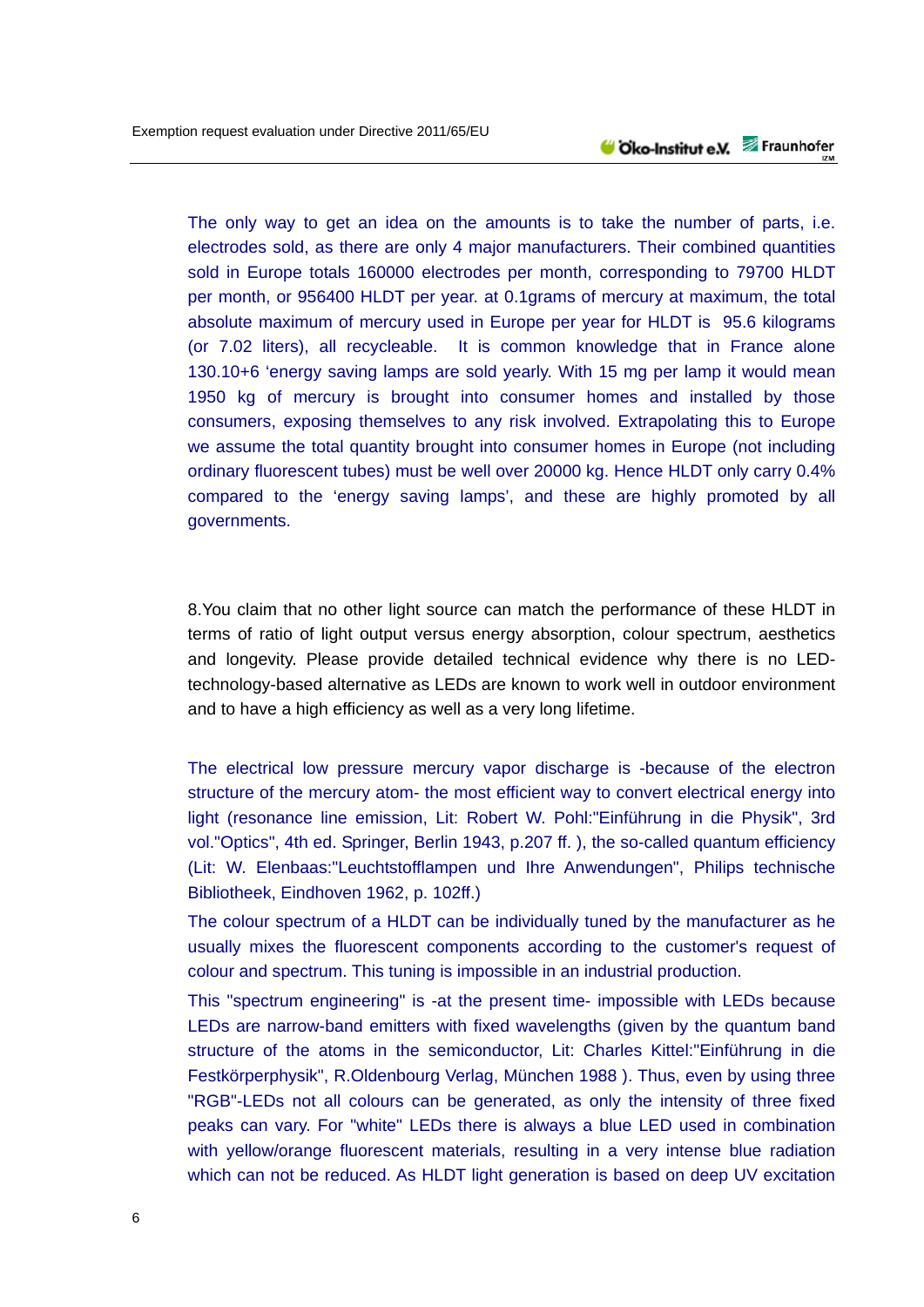The only way to get an idea on the amounts is to take the number of parts, i.e. electrodes sold, as there are only 4 major manufacturers. Their combined quantities sold in Europe totals 160000 electrodes per month, corresponding to 79700 HLDT per month, or 956400 HLDT per year. at 0.1grams of mercury at maximum, the total absolute maximum of mercury used in Europe per year for HLDT is 95.6 kilograms (or 7.02 liters), all recycleable. It is common knowledge that in France alone 130.10+6 'energy saving lamps are sold yearly. With 15 mg per lamp it would mean 1950 kg of mercury is brought into consumer homes and installed by those consumers, exposing themselves to any risk involved. Extrapolating this to Europe we assume the total quantity brought into consumer homes in Europe (not including ordinary fluorescent tubes) must be well over 20000 kg. Hence HLDT only carry 0.4% compared to the 'energy saving lamps', and these are highly promoted by all governments.

8.You claim that no other light source can match the performance of these HLDT in terms of ratio of light output versus energy absorption, colour spectrum, aesthetics and longevity. Please provide detailed technical evidence why there is no LEDtechnology-based alternative as LEDs are known to work well in outdoor environment and to have a high efficiency as well as a very long lifetime.

The electrical low pressure mercury vapor discharge is -because of the electron structure of the mercury atom- the most efficient way to convert electrical energy into light (resonance line emission, Lit: Robert W. Pohl:"Einführung in die Physik", 3rd vol."Optics", 4th ed. Springer, Berlin 1943, p.207 ff. ), the so-called quantum efficiency (Lit: W. Elenbaas:"Leuchtstofflampen und Ihre Anwendungen", Philips technische Bibliotheek, Eindhoven 1962, p. 102ff.)

The colour spectrum of a HLDT can be individually tuned by the manufacturer as he usually mixes the fluorescent components according to the customer's request of colour and spectrum. This tuning is impossible in an industrial production.

This "spectrum engineering" is -at the present time- impossible with LEDs because LEDs are narrow-band emitters with fixed wavelengths (given by the quantum band structure of the atoms in the semiconductor, Lit: Charles Kittel:"Einführung in die Festkörperphysik", R.Oldenbourg Verlag, München 1988 ). Thus, even by using three "RGB"-LEDs not all colours can be generated, as only the intensity of three fixed peaks can vary. For "white" LEDs there is always a blue LED used in combination with yellow/orange fluorescent materials, resulting in a very intense blue radiation which can not be reduced. As HLDT light generation is based on deep UV excitation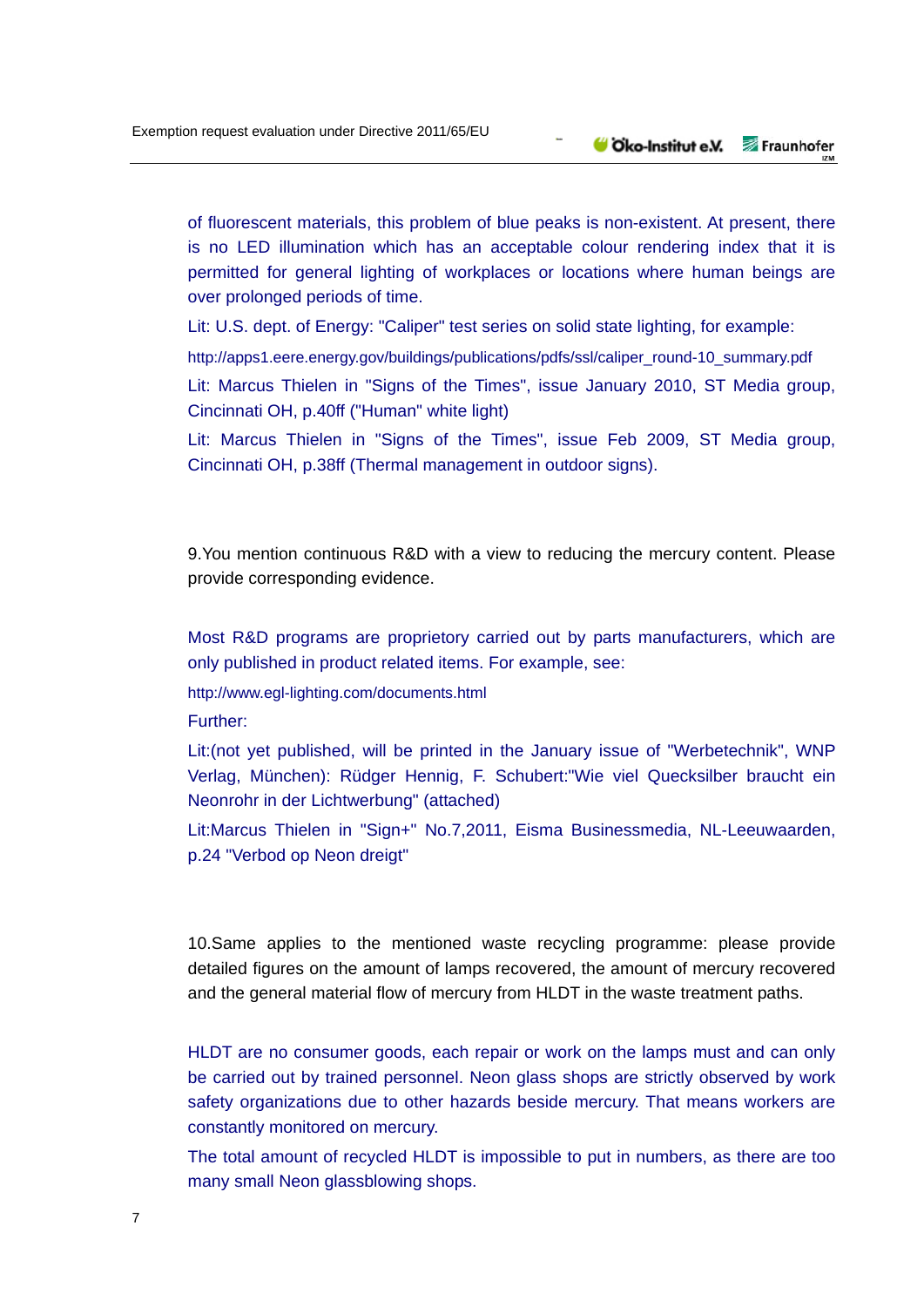of fluorescent materials, this problem of blue peaks is non-existent. At present, there is no LED illumination which has an acceptable colour rendering index that it is permitted for general lighting of workplaces or locations where human beings are over prolonged periods of time.

Lit: U.S. dept. of Energy: "Caliper" test series on solid state lighting, for example:

http://apps1.eere.energy.gov/buildings/publications/pdfs/ssl/caliper\_round-10\_summary.pdf

Lit: Marcus Thielen in "Signs of the Times", issue January 2010, ST Media group, Cincinnati OH, p.40ff ("Human" white light)

Lit: Marcus Thielen in "Signs of the Times", issue Feb 2009, ST Media group, Cincinnati OH, p.38ff (Thermal management in outdoor signs).

9.You mention continuous R&D with a view to reducing the mercury content. Please provide corresponding evidence.

Most R&D programs are proprietory carried out by parts manufacturers, which are only published in product related items. For example, see:

http://www.egl-lighting.com/documents.html

Further:

Lit:(not yet published, will be printed in the January issue of "Werbetechnik", WNP Verlag, München): Rüdger Hennig, F. Schubert:"Wie viel Quecksilber braucht ein Neonrohr in der Lichtwerbung" (attached)

Lit:Marcus Thielen in "Sign+" No.7,2011, Eisma Businessmedia, NL-Leeuwaarden, p.24 "Verbod op Neon dreigt"

10.Same applies to the mentioned waste recycling programme: please provide detailed figures on the amount of lamps recovered, the amount of mercury recovered and the general material flow of mercury from HLDT in the waste treatment paths.

HLDT are no consumer goods, each repair or work on the lamps must and can only be carried out by trained personnel. Neon glass shops are strictly observed by work safety organizations due to other hazards beside mercury. That means workers are constantly monitored on mercury.

The total amount of recycled HLDT is impossible to put in numbers, as there are too many small Neon glassblowing shops.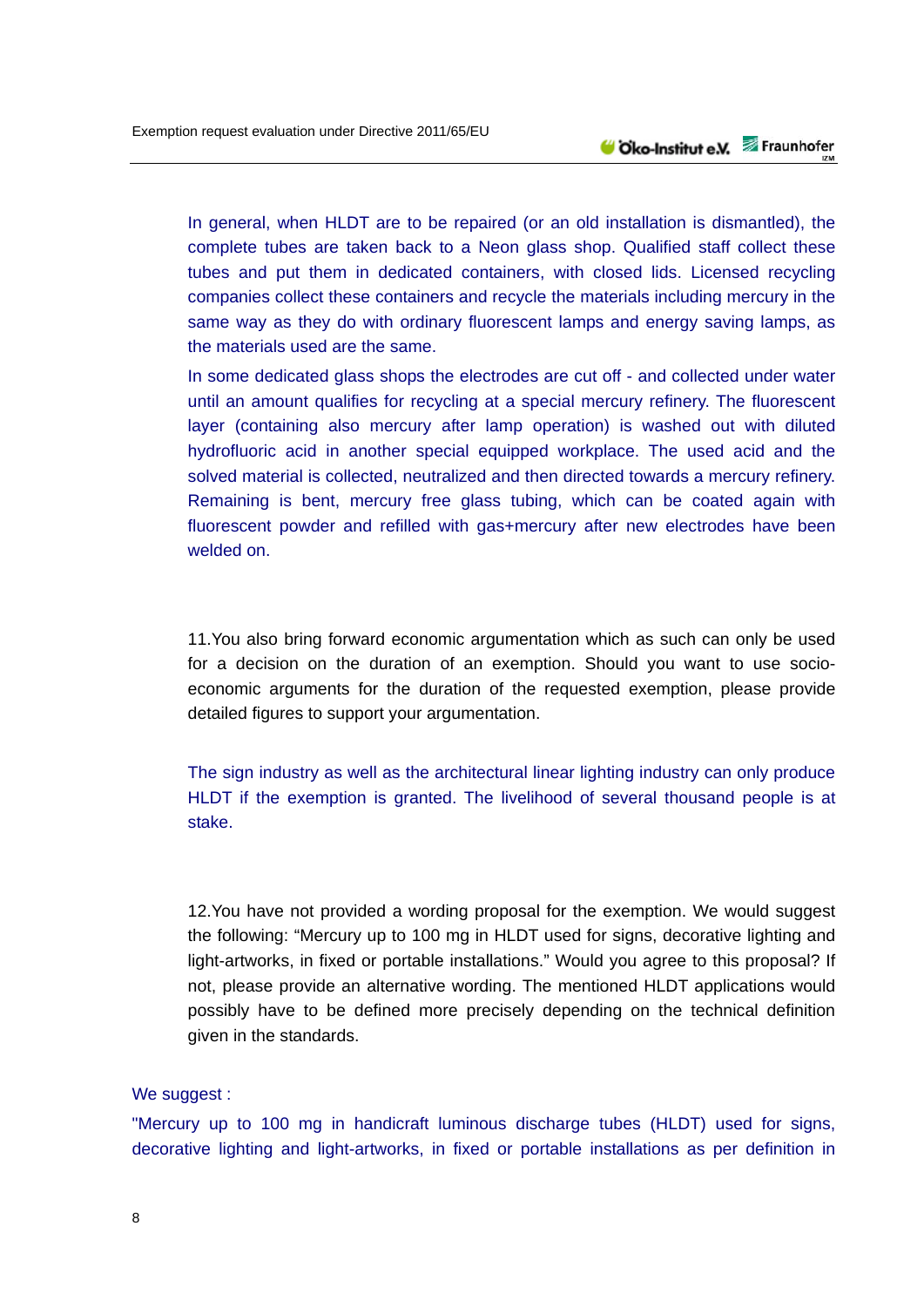In general, when HLDT are to be repaired (or an old installation is dismantled), the complete tubes are taken back to a Neon glass shop. Qualified staff collect these tubes and put them in dedicated containers, with closed lids. Licensed recycling companies collect these containers and recycle the materials including mercury in the same way as they do with ordinary fluorescent lamps and energy saving lamps, as the materials used are the same.

In some dedicated glass shops the electrodes are cut off - and collected under water until an amount qualifies for recycling at a special mercury refinery. The fluorescent layer (containing also mercury after lamp operation) is washed out with diluted hydrofluoric acid in another special equipped workplace. The used acid and the solved material is collected, neutralized and then directed towards a mercury refinery. Remaining is bent, mercury free glass tubing, which can be coated again with fluorescent powder and refilled with gas+mercury after new electrodes have been welded on.

11.You also bring forward economic argumentation which as such can only be used for a decision on the duration of an exemption. Should you want to use socioeconomic arguments for the duration of the requested exemption, please provide detailed figures to support your argumentation.

The sign industry as well as the architectural linear lighting industry can only produce HLDT if the exemption is granted. The livelihood of several thousand people is at stake.

12.You have not provided a wording proposal for the exemption. We would suggest the following: "Mercury up to 100 mg in HLDT used for signs, decorative lighting and light-artworks, in fixed or portable installations." Would you agree to this proposal? If not, please provide an alternative wording. The mentioned HLDT applications would possibly have to be defined more precisely depending on the technical definition given in the standards.

### We suggest :

"Mercury up to 100 mg in handicraft luminous discharge tubes (HLDT) used for signs, decorative lighting and light-artworks, in fixed or portable installations as per definition in